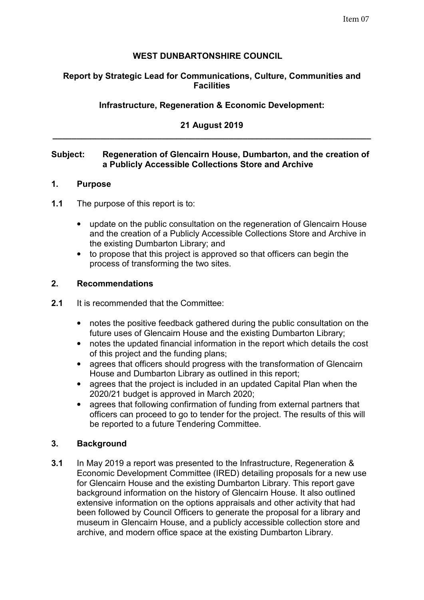# **WEST DUNBARTONSHIRE COUNCIL**

## **Report by Strategic Lead for Communications, Culture, Communities and Facilities**

# **Infrastructure, Regeneration & Economic Development:**

### **21 August 2019 \_\_\_\_\_\_\_\_\_\_\_\_\_\_\_\_\_\_\_\_\_\_\_\_\_\_\_\_\_\_\_\_\_\_\_\_\_\_\_\_\_\_\_\_\_\_\_\_\_\_\_\_\_\_\_\_\_\_\_\_\_\_\_\_\_\_\_**

### **Subject: Regeneration of Glencairn House, Dumbarton, and the creation of a Publicly Accessible Collections Store and Archive**

#### **1. Purpose**

- **1.1** The purpose of this report is to:
	- update on the public consultation on the regeneration of Glencairn House and the creation of a Publicly Accessible Collections Store and Archive in the existing Dumbarton Library; and
	- to propose that this project is approved so that officers can begin the process of transforming the two sites.

#### **2. Recommendations**

- **2.1** It is recommended that the Committee:
	- notes the positive feedback gathered during the public consultation on the future uses of Glencairn House and the existing Dumbarton Library;
	- notes the updated financial information in the report which details the cost of this project and the funding plans;
	- agrees that officers should progress with the transformation of Glencairn House and Dumbarton Library as outlined in this report;
	- agrees that the project is included in an updated Capital Plan when the 2020/21 budget is approved in March 2020;
	- agrees that following confirmation of funding from external partners that officers can proceed to go to tender for the project. The results of this will be reported to a future Tendering Committee.

### **3. Background**

**3.1** In May 2019 a report was presented to the Infrastructure, Regeneration & Economic Development Committee (IRED) detailing proposals for a new use for Glencairn House and the existing Dumbarton Library. This report gave background information on the history of Glencairn House. It also outlined extensive information on the options appraisals and other activity that had been followed by Council Officers to generate the proposal for a library and museum in Glencairn House, and a publicly accessible collection store and archive, and modern office space at the existing Dumbarton Library.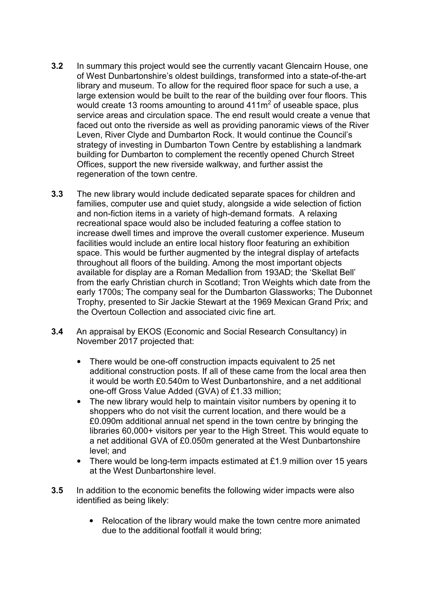- **3.2** In summary this project would see the currently vacant Glencairn House, one of West Dunbartonshire's oldest buildings, transformed into a state-of-the-art library and museum. To allow for the required floor space for such a use, a large extension would be built to the rear of the building over four floors. This would create 13 rooms amounting to around  $411m^2$  of useable space, plus service areas and circulation space. The end result would create a venue that faced out onto the riverside as well as providing panoramic views of the River Leven, River Clyde and Dumbarton Rock. It would continue the Council's strategy of investing in Dumbarton Town Centre by establishing a landmark building for Dumbarton to complement the recently opened Church Street Offices, support the new riverside walkway, and further assist the regeneration of the town centre.
- **3.3** The new library would include dedicated separate spaces for children and families, computer use and quiet study, alongside a wide selection of fiction and non-fiction items in a variety of high-demand formats. A relaxing recreational space would also be included featuring a coffee station to increase dwell times and improve the overall customer experience. Museum facilities would include an entire local history floor featuring an exhibition space. This would be further augmented by the integral display of artefacts throughout all floors of the building. Among the most important objects available for display are a Roman Medallion from 193AD; the 'Skellat Bell' from the early Christian church in Scotland; Tron Weights which date from the early 1700s; The company seal for the Dumbarton Glassworks; The Dubonnet Trophy, presented to Sir Jackie Stewart at the 1969 Mexican Grand Prix; and the Overtoun Collection and associated civic fine art.
- **3.4** An appraisal by EKOS (Economic and Social Research Consultancy) in November 2017 projected that:
	- There would be one-off construction impacts equivalent to 25 net additional construction posts. If all of these came from the local area then it would be worth £0.540m to West Dunbartonshire, and a net additional one-off Gross Value Added (GVA) of £1.33 million;
	- The new library would help to maintain visitor numbers by opening it to shoppers who do not visit the current location, and there would be a £0.090m additional annual net spend in the town centre by bringing the libraries 60,000+ visitors per year to the High Street. This would equate to a net additional GVA of £0.050m generated at the West Dunbartonshire level; and
	- There would be long-term impacts estimated at £1.9 million over 15 years at the West Dunbartonshire level.
- **3.5** In addition to the economic benefits the following wider impacts were also identified as being likely:
	- Relocation of the library would make the town centre more animated due to the additional footfall it would bring;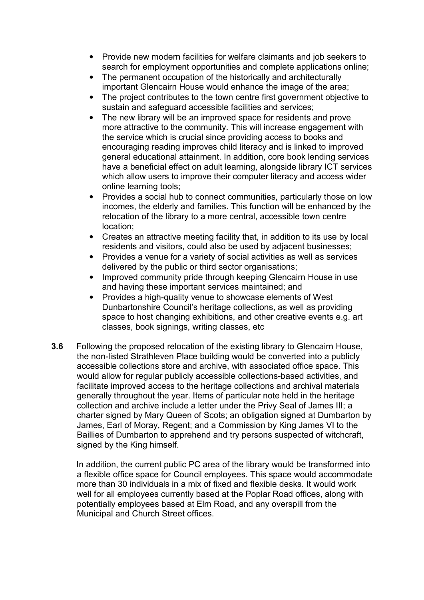- Provide new modern facilities for welfare claimants and job seekers to search for employment opportunities and complete applications online;
- The permanent occupation of the historically and architecturally important Glencairn House would enhance the image of the area;
- The project contributes to the town centre first government objective to sustain and safeguard accessible facilities and services;
- The new library will be an improved space for residents and prove more attractive to the community. This will increase engagement with the service which is crucial since providing access to books and encouraging reading improves child literacy and is linked to improved general educational attainment. In addition, core book lending services have a beneficial effect on adult learning, alongside library ICT services which allow users to improve their computer literacy and access wider online learning tools;
- Provides a social hub to connect communities, particularly those on low incomes, the elderly and families. This function will be enhanced by the relocation of the library to a more central, accessible town centre location;
- Creates an attractive meeting facility that, in addition to its use by local residents and visitors, could also be used by adjacent businesses;
- Provides a venue for a variety of social activities as well as services delivered by the public or third sector organisations;
- Improved community pride through keeping Glencairn House in use and having these important services maintained; and
- Provides a high-quality venue to showcase elements of West Dunbartonshire Council's heritage collections, as well as providing space to host changing exhibitions, and other creative events e.g. art classes, book signings, writing classes, etc
- **3.6** Following the proposed relocation of the existing library to Glencairn House, the non-listed Strathleven Place building would be converted into a publicly accessible collections store and archive, with associated office space. This would allow for regular publicly accessible collections-based activities, and facilitate improved access to the heritage collections and archival materials generally throughout the year. Items of particular note held in the heritage collection and archive include a letter under the Privy Seal of James III; a charter signed by Mary Queen of Scots; an obligation signed at Dumbarton by James, Earl of Moray, Regent; and a Commission by King James VI to the Baillies of Dumbarton to apprehend and try persons suspected of witchcraft, signed by the King himself.

In addition, the current public PC area of the library would be transformed into a flexible office space for Council employees. This space would accommodate more than 30 individuals in a mix of fixed and flexible desks. It would work well for all employees currently based at the Poplar Road offices, along with potentially employees based at Elm Road, and any overspill from the Municipal and Church Street offices.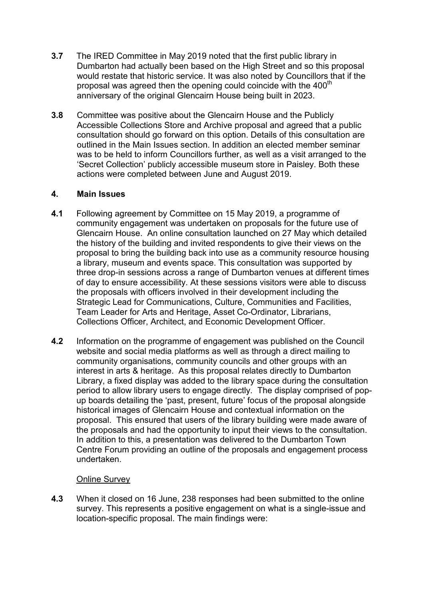- **3.7** The IRED Committee in May 2019 noted that the first public library in Dumbarton had actually been based on the High Street and so this proposal would restate that historic service. It was also noted by Councillors that if the proposal was agreed then the opening could coincide with the 400<sup>th</sup> anniversary of the original Glencairn House being built in 2023.
- **3.8** Committee was positive about the Glencairn House and the Publicly Accessible Collections Store and Archive proposal and agreed that a public consultation should go forward on this option. Details of this consultation are outlined in the Main Issues section. In addition an elected member seminar was to be held to inform Councillors further, as well as a visit arranged to the 'Secret Collection' publicly accessible museum store in Paisley. Both these actions were completed between June and August 2019.

# **4. Main Issues**

- **4.1** Following agreement by Committee on 15 May 2019, a programme of community engagement was undertaken on proposals for the future use of Glencairn House. An online consultation launched on 27 May which detailed the history of the building and invited respondents to give their views on the proposal to bring the building back into use as a community resource housing a library, museum and events space. This consultation was supported by three drop-in sessions across a range of Dumbarton venues at different times of day to ensure accessibility. At these sessions visitors were able to discuss the proposals with officers involved in their development including the Strategic Lead for Communications, Culture, Communities and Facilities, Team Leader for Arts and Heritage, Asset Co-Ordinator, Librarians, Collections Officer, Architect, and Economic Development Officer.
- **4.2** Information on the programme of engagement was published on the Council website and social media platforms as well as through a direct mailing to community organisations, community councils and other groups with an interest in arts & heritage. As this proposal relates directly to Dumbarton Library, a fixed display was added to the library space during the consultation period to allow library users to engage directly. The display comprised of popup boards detailing the 'past, present, future' focus of the proposal alongside historical images of Glencairn House and contextual information on the proposal. This ensured that users of the library building were made aware of the proposals and had the opportunity to input their views to the consultation. In addition to this, a presentation was delivered to the Dumbarton Town Centre Forum providing an outline of the proposals and engagement process undertaken.

### Online Survey

**4.3** When it closed on 16 June, 238 responses had been submitted to the online survey. This represents a positive engagement on what is a single-issue and location-specific proposal. The main findings were: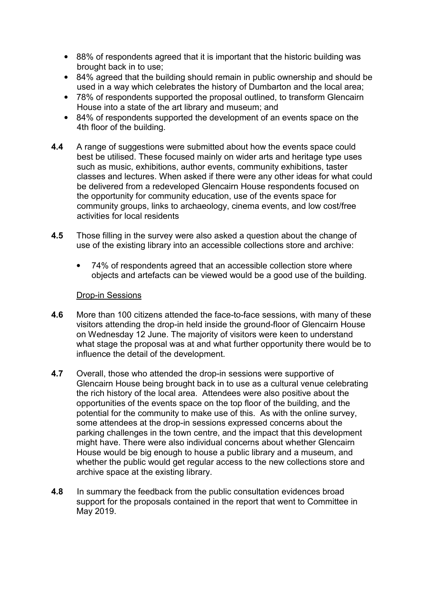- 88% of respondents agreed that it is important that the historic building was brought back in to use;
- 84% agreed that the building should remain in public ownership and should be used in a way which celebrates the history of Dumbarton and the local area;
- 78% of respondents supported the proposal outlined, to transform Glencairn House into a state of the art library and museum; and
- 84% of respondents supported the development of an events space on the 4th floor of the building.
- **4.4** A range of suggestions were submitted about how the events space could best be utilised. These focused mainly on wider arts and heritage type uses such as music, exhibitions, author events, community exhibitions, taster classes and lectures. When asked if there were any other ideas for what could be delivered from a redeveloped Glencairn House respondents focused on the opportunity for community education, use of the events space for community groups, links to archaeology, cinema events, and low cost/free activities for local residents
- **4.5** Those filling in the survey were also asked a question about the change of use of the existing library into an accessible collections store and archive:
	- 74% of respondents agreed that an accessible collection store where objects and artefacts can be viewed would be a good use of the building.

#### Drop-in Sessions

- **4.6** More than 100 citizens attended the face-to-face sessions, with many of these visitors attending the drop-in held inside the ground-floor of Glencairn House on Wednesday 12 June. The majority of visitors were keen to understand what stage the proposal was at and what further opportunity there would be to influence the detail of the development.
- **4.7** Overall, those who attended the drop-in sessions were supportive of Glencairn House being brought back in to use as a cultural venue celebrating the rich history of the local area. Attendees were also positive about the opportunities of the events space on the top floor of the building, and the potential for the community to make use of this. As with the online survey, some attendees at the drop-in sessions expressed concerns about the parking challenges in the town centre, and the impact that this development might have. There were also individual concerns about whether Glencairn House would be big enough to house a public library and a museum, and whether the public would get regular access to the new collections store and archive space at the existing library.
- **4.8** In summary the feedback from the public consultation evidences broad support for the proposals contained in the report that went to Committee in May 2019.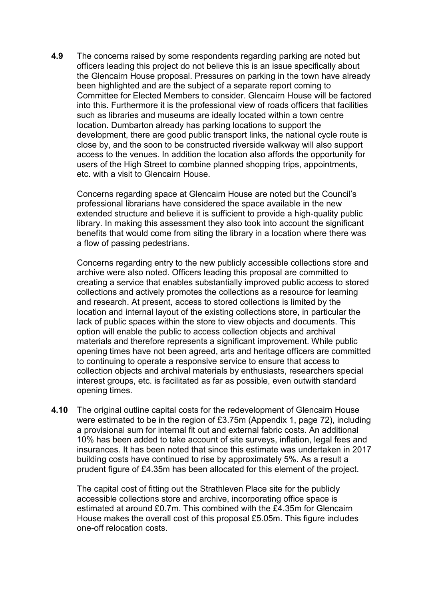**4.9** The concerns raised by some respondents regarding parking are noted but officers leading this project do not believe this is an issue specifically about the Glencairn House proposal. Pressures on parking in the town have already been highlighted and are the subject of a separate report coming to Committee for Elected Members to consider. Glencairn House will be factored into this. Furthermore it is the professional view of roads officers that facilities such as libraries and museums are ideally located within a town centre location. Dumbarton already has parking locations to support the development, there are good public transport links, the national cycle route is close by, and the soon to be constructed riverside walkway will also support access to the venues. In addition the location also affords the opportunity for users of the High Street to combine planned shopping trips, appointments, etc. with a visit to Glencairn House.

Concerns regarding space at Glencairn House are noted but the Council's professional librarians have considered the space available in the new extended structure and believe it is sufficient to provide a high-quality public library. In making this assessment they also took into account the significant benefits that would come from siting the library in a location where there was a flow of passing pedestrians.

Concerns regarding entry to the new publicly accessible collections store and archive were also noted. Officers leading this proposal are committed to creating a service that enables substantially improved public access to stored collections and actively promotes the collections as a resource for learning and research. At present, access to stored collections is limited by the location and internal layout of the existing collections store, in particular the lack of public spaces within the store to view objects and documents. This option will enable the public to access collection objects and archival materials and therefore represents a significant improvement. While public opening times have not been agreed, arts and heritage officers are committed to continuing to operate a responsive service to ensure that access to collection objects and archival materials by enthusiasts, researchers special interest groups, etc. is facilitated as far as possible, even outwith standard opening times.

**4.10** The original outline capital costs for the redevelopment of Glencairn House were estimated to be in the region of £3.75m (Appendix 1, page 72), including a provisional sum for internal fit out and external fabric costs. An additional 10% has been added to take account of site surveys, inflation, legal fees and insurances. It has been noted that since this estimate was undertaken in 2017 building costs have continued to rise by approximately 5%. As a result a prudent figure of £4.35m has been allocated for this element of the project.

The capital cost of fitting out the Strathleven Place site for the publicly accessible collections store and archive, incorporating office space is estimated at around £0.7m. This combined with the £4.35m for Glencairn House makes the overall cost of this proposal £5.05m. This figure includes one-off relocation costs.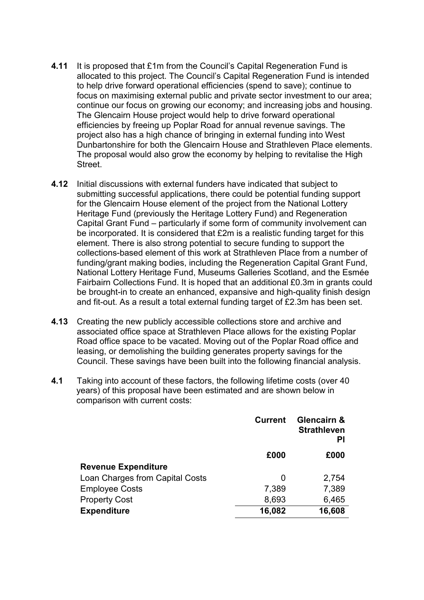- **4.11** It is proposed that £1m from the Council's Capital Regeneration Fund is allocated to this project. The Council's Capital Regeneration Fund is intended to help drive forward operational efficiencies (spend to save); continue to focus on maximising external public and private sector investment to our area; continue our focus on growing our economy; and increasing jobs and housing. The Glencairn House project would help to drive forward operational efficiencies by freeing up Poplar Road for annual revenue savings. The project also has a high chance of bringing in external funding into West Dunbartonshire for both the Glencairn House and Strathleven Place elements. The proposal would also grow the economy by helping to revitalise the High Street.
- **4.12** Initial discussions with external funders have indicated that subject to submitting successful applications, there could be potential funding support for the Glencairn House element of the project from the National Lottery Heritage Fund (previously the Heritage Lottery Fund) and Regeneration Capital Grant Fund – particularly if some form of community involvement can be incorporated. It is considered that £2m is a realistic funding target for this element. There is also strong potential to secure funding to support the collections-based element of this work at Strathleven Place from a number of funding/grant making bodies, including the Regeneration Capital Grant Fund, National Lottery Heritage Fund, Museums Galleries Scotland, and the Esmée Fairbairn Collections Fund. It is hoped that an additional £0.3m in grants could be brought-in to create an enhanced, expansive and high-quality finish design and fit-out. As a result a total external funding target of £2.3m has been set.
- **4.13** Creating the new publicly accessible collections store and archive and associated office space at Strathleven Place allows for the existing Poplar Road office space to be vacated. Moving out of the Poplar Road office and leasing, or demolishing the building generates property savings for the Council. These savings have been built into the following financial analysis.
- **4.1** Taking into account of these factors, the following lifetime costs (over 40 years) of this proposal have been estimated and are shown below in comparison with current costs:

|                                 | <b>Current</b> | <b>Glencairn &amp;</b><br><b>Strathleven</b><br>ΡI |
|---------------------------------|----------------|----------------------------------------------------|
|                                 | £000           | £000                                               |
| <b>Revenue Expenditure</b>      |                |                                                    |
| Loan Charges from Capital Costs | O              | 2,754                                              |
| <b>Employee Costs</b>           | 7,389          | 7,389                                              |
| <b>Property Cost</b>            | 8,693          | 6,465                                              |
| <b>Expenditure</b>              | 16,082         | 16,608                                             |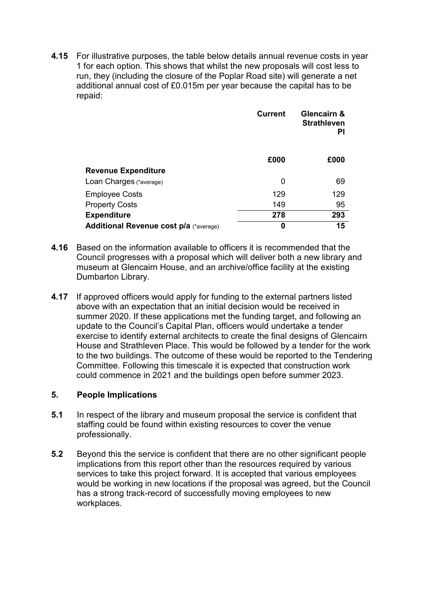**4.15** For illustrative purposes, the table below details annual revenue costs in year 1 for each option. This shows that whilst the new proposals will cost less to run, they (including the closure of the Poplar Road site) will generate a net additional annual cost of £0.015m per year because the capital has to be repaid:

|                                        | <b>Current</b> | Glencairn &<br><b>Strathleven</b><br>PI |
|----------------------------------------|----------------|-----------------------------------------|
|                                        | £000           | £000                                    |
| <b>Revenue Expenditure</b>             |                |                                         |
| Loan Charges (*average)                | 0              | 69                                      |
| <b>Employee Costs</b>                  | 129            | 129                                     |
| <b>Property Costs</b>                  | 149            | 95                                      |
| <b>Expenditure</b>                     | 278            | 293                                     |
| Additional Revenue cost p/a (*average) | 0              | 15                                      |

- **4.16** Based on the information available to officers it is recommended that the Council progresses with a proposal which will deliver both a new library and museum at Glencairn House, and an archive/office facility at the existing Dumbarton Library.
- **4.17** If approved officers would apply for funding to the external partners listed above with an expectation that an initial decision would be received in summer 2020. If these applications met the funding target, and following an update to the Council's Capital Plan, officers would undertake a tender exercise to identify external architects to create the final designs of Glencairn House and Strathleven Place. This would be followed by a tender for the work to the two buildings. The outcome of these would be reported to the Tendering Committee. Following this timescale it is expected that construction work could commence in 2021 and the buildings open before summer 2023.

### **5. People Implications**

- **5.1** In respect of the library and museum proposal the service is confident that staffing could be found within existing resources to cover the venue professionally.
- **5.2** Beyond this the service is confident that there are no other significant people implications from this report other than the resources required by various services to take this project forward. It is accepted that various employees would be working in new locations if the proposal was agreed, but the Council has a strong track-record of successfully moving employees to new workplaces.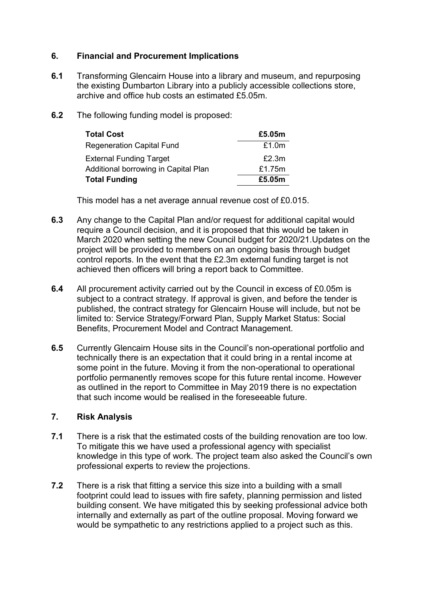## **6. Financial and Procurement Implications**

- **6.1** Transforming Glencairn House into a library and museum, and repurposing the existing Dumbarton Library into a publicly accessible collections store, archive and office hub costs an estimated £5.05m.
- **6.2** The following funding model is proposed:

| <b>Total Cost</b>                    | £5.05m |
|--------------------------------------|--------|
| <b>Regeneration Capital Fund</b>     | £1.0m  |
| <b>External Funding Target</b>       | £2.3m  |
| Additional borrowing in Capital Plan | £1.75m |
| <b>Total Funding</b>                 | £5.05m |

This model has a net average annual revenue cost of £0.015.

- **6.3** Any change to the Capital Plan and/or request for additional capital would require a Council decision, and it is proposed that this would be taken in March 2020 when setting the new Council budget for 2020/21.Updates on the project will be provided to members on an ongoing basis through budget control reports. In the event that the £2.3m external funding target is not achieved then officers will bring a report back to Committee.
- **6.4** All procurement activity carried out by the Council in excess of £0.05m is subject to a contract strategy. If approval is given, and before the tender is published, the contract strategy for Glencairn House will include, but not be limited to: Service Strategy/Forward Plan, Supply Market Status: Social Benefits, Procurement Model and Contract Management.
- **6.5** Currently Glencairn House sits in the Council's non-operational portfolio and technically there is an expectation that it could bring in a rental income at some point in the future. Moving it from the non-operational to operational portfolio permanently removes scope for this future rental income. However as outlined in the report to Committee in May 2019 there is no expectation that such income would be realised in the foreseeable future.

# **7. Risk Analysis**

- **7.1** There is a risk that the estimated costs of the building renovation are too low. To mitigate this we have used a professional agency with specialist knowledge in this type of work. The project team also asked the Council's own professional experts to review the projections.
- **7.2** There is a risk that fitting a service this size into a building with a small footprint could lead to issues with fire safety, planning permission and listed building consent. We have mitigated this by seeking professional advice both internally and externally as part of the outline proposal. Moving forward we would be sympathetic to any restrictions applied to a project such as this.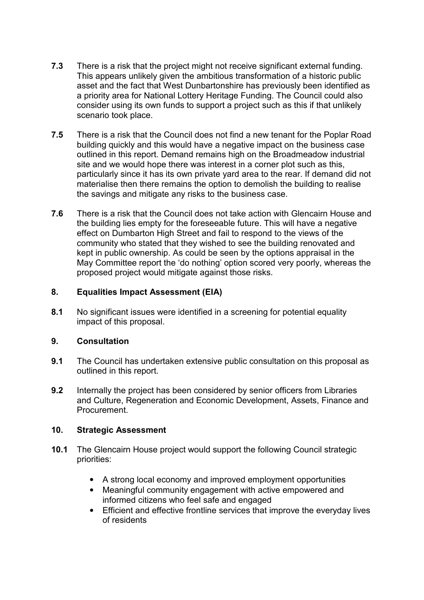- **7.3** There is a risk that the project might not receive significant external funding. This appears unlikely given the ambitious transformation of a historic public asset and the fact that West Dunbartonshire has previously been identified as a priority area for National Lottery Heritage Funding. The Council could also consider using its own funds to support a project such as this if that unlikely scenario took place.
- **7.5** There is a risk that the Council does not find a new tenant for the Poplar Road building quickly and this would have a negative impact on the business case outlined in this report. Demand remains high on the Broadmeadow industrial site and we would hope there was interest in a corner plot such as this, particularly since it has its own private yard area to the rear. If demand did not materialise then there remains the option to demolish the building to realise the savings and mitigate any risks to the business case.
- **7.6** There is a risk that the Council does not take action with Glencairn House and the building lies empty for the foreseeable future. This will have a negative effect on Dumbarton High Street and fail to respond to the views of the community who stated that they wished to see the building renovated and kept in public ownership. As could be seen by the options appraisal in the May Committee report the 'do nothing' option scored very poorly, whereas the proposed project would mitigate against those risks.

# **8. Equalities Impact Assessment (EIA)**

**8.1** No significant issues were identified in a screening for potential equality impact of this proposal.

### **9. Consultation**

- **9.1** The Council has undertaken extensive public consultation on this proposal as outlined in this report.
- **9.2** Internally the project has been considered by senior officers from Libraries and Culture, Regeneration and Economic Development, Assets, Finance and **Procurement**

### **10. Strategic Assessment**

- **10.1** The Glencairn House project would support the following Council strategic priorities:
	- A strong local economy and improved employment opportunities
	- Meaningful community engagement with active empowered and informed citizens who feel safe and engaged
	- Efficient and effective frontline services that improve the everyday lives of residents